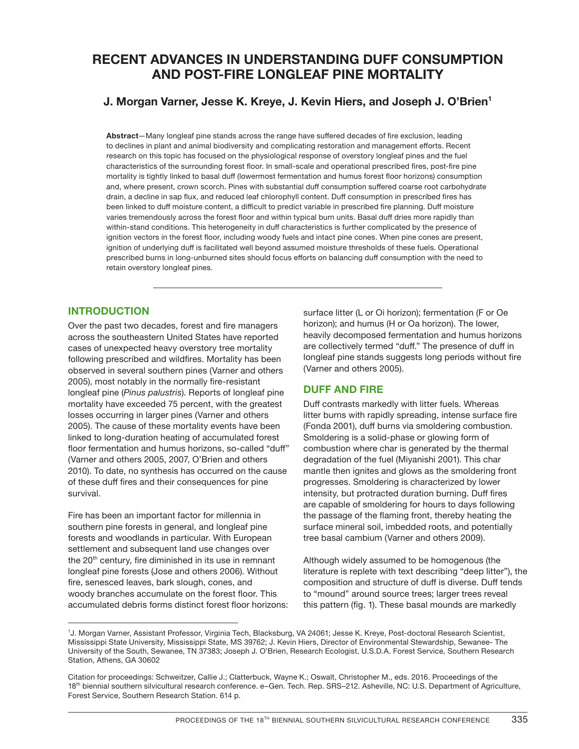# **RECENT ADVANCES IN UNDERSTANDING DUFF CONSUMPTION AND POST-FIRE LONGLEAF PINE MORTALITY**

## **J. Morgan Varner, Jesse K. Kreye, J. Kevin Hiers, and Joseph J. O'Brien1**

**Abstract**—Many longleaf pine stands across the range have suffered decades of fire exclusion, leading to declines in plant and animal biodiversity and complicating restoration and management efforts. Recent research on this topic has focused on the physiological response of overstory longleaf pines and the fuel characteristics of the surrounding forest floor. In small-scale and operational prescribed fires, post-fire pine mortality is tightly linked to basal duff (lowermost fermentation and humus forest floor horizons) consumption and, where present, crown scorch. Pines with substantial duff consumption suffered coarse root carbohydrate drain, a decline in sap flux, and reduced leaf chlorophyll content. Duff consumption in prescribed fires has been linked to duff moisture content, a difficult to predict variable in prescribed fire planning. Duff moisture varies tremendously across the forest floor and within typical burn units. Basal duff dries more rapidly than within-stand conditions. This heterogeneity in duff characteristics is further complicated by the presence of ignition vectors in the forest floor, including woody fuels and intact pine cones. When pine cones are present, ignition of underlying duff is facilitated well beyond assumed moisture thresholds of these fuels. Operational prescribed burns in long-unburned sites should focus efforts on balancing duff consumption with the need to retain overstory longleaf pines.

#### **INTRODUCTION**

Over the past two decades, forest and fire managers across the southeastern United States have reported cases of unexpected heavy overstory tree mortality following prescribed and wildfires. Mortality has been observed in several southern pines (Varner and others 2005), most notably in the normally fire-resistant longleaf pine (*Pinus palustris*). Reports of longleaf pine mortality have exceeded 75 percent, with the greatest losses occurring in larger pines (Varner and others 2005). The cause of these mortality events have been linked to long-duration heating of accumulated forest floor fermentation and humus horizons, so-called "duff" (Varner and others 2005, 2007, O'Brien and others 2010). To date, no synthesis has occurred on the cause of these duff fires and their consequences for pine survival.

Fire has been an important factor for millennia in southern pine forests in general, and longleaf pine forests and woodlands in particular. With European settlement and subsequent land use changes over the  $20<sup>th</sup>$  century, fire diminished in its use in remnant longleaf pine forests (Jose and others 2006). Without fire, senesced leaves, bark slough, cones, and woody branches accumulate on the forest floor. This accumulated debris forms distinct forest floor horizons: surface litter (L or Oi horizon); fermentation (F or Oe horizon); and humus (H or Oa horizon). The lower, heavily decomposed fermentation and humus horizons are collectively termed "duff." The presence of duff in longleaf pine stands suggests long periods without fire (Varner and others 2005).

#### **DUFF AND FIRE**

Duff contrasts markedly with litter fuels. Whereas litter burns with rapidly spreading, intense surface fire (Fonda 2001), duff burns via smoldering combustion. Smoldering is a solid-phase or glowing form of combustion where char is generated by the thermal degradation of the fuel (Miyanishi 2001). This char mantle then ignites and glows as the smoldering front progresses. Smoldering is characterized by lower intensity, but protracted duration burning. Duff fires are capable of smoldering for hours to days following the passage of the flaming front, thereby heating the surface mineral soil, imbedded roots, and potentially tree basal cambium (Varner and others 2009).

Although widely assumed to be homogenous (the literature is replete with text describing "deep litter"), the composition and structure of duff is diverse. Duff tends to "mound" around source trees; larger trees reveal this pattern (fig. 1). These basal mounds are markedly

<sup>1</sup> J. Morgan Varner, Assistant Professor, Virginia Tech, Blacksburg, VA 24061; Jesse K. Kreye, Post-doctoral Research Scientist, Mississippi State University, Mississippi State, MS 39762; J. Kevin Hiers, Director of Environmental Stewardship, Sewanee- The University of the South, Sewanee, TN 37383; Joseph J. O'Brien, Research Ecologist, U.S.D.A. Forest Service, Southern Research Station, Athens, GA 30602

Citation for proceedings: Schweitzer, Callie J.; Clatterbuck, Wayne K.; Oswalt, Christopher M., eds. 2016. Proceedings of the 18<sup>th</sup> biennial southern silvicultural research conference. e-Gen. Tech. Rep. SRS-212. Asheville, NC: U.S. Department of Agriculture, Forest Service, Southern Research Station. 614 p.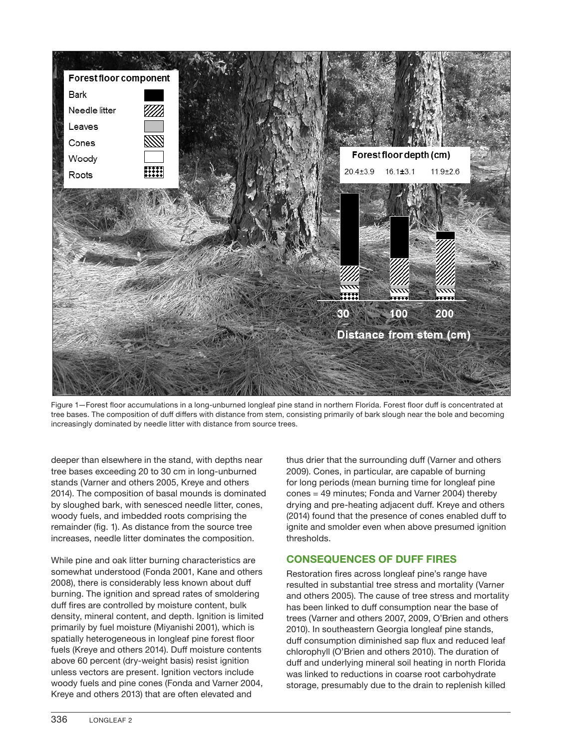

Figure 1—Forest floor accumulations in a long-unburned longleaf pine stand in northern Florida. Forest floor duff is concentrated at tree bases. The composition of duff differs with distance from stem, consisting primarily of bark slough near the bole and becoming increasingly dominated by needle litter with distance from source trees.

deeper than elsewhere in the stand, with depths near tree bases exceeding 20 to 30 cm in long-unburned stands (Varner and others 2005, Kreye and others 2014). The composition of basal mounds is dominated by sloughed bark, with senesced needle litter, cones, woody fuels, and imbedded roots comprising the remainder (fig. 1). As distance from the source tree increases, needle litter dominates the composition.

While pine and oak litter burning characteristics are somewhat understood (Fonda 2001, Kane and others 2008), there is considerably less known about duff burning. The ignition and spread rates of smoldering duff fires are controlled by moisture content, bulk density, mineral content, and depth. Ignition is limited primarily by fuel moisture (Miyanishi 2001), which is spatially heterogeneous in longleaf pine forest floor fuels (Kreye and others 2014). Duff moisture contents above 60 percent (dry-weight basis) resist ignition unless vectors are present. Ignition vectors include woody fuels and pine cones (Fonda and Varner 2004, Kreye and others 2013) that are often elevated and

thus drier that the surrounding duff (Varner and others 2009). Cones, in particular, are capable of burning for long periods (mean burning time for longleaf pine cones = 49 minutes; Fonda and Varner 2004) thereby drying and pre-heating adjacent duff. Kreye and others (2014) found that the presence of cones enabled duff to ignite and smolder even when above presumed ignition thresholds.

#### **CONSEQUENCES OF DUFF FIRES**

Restoration fires across longleaf pine's range have resulted in substantial tree stress and mortality (Varner and others 2005). The cause of tree stress and mortality has been linked to duff consumption near the base of trees (Varner and others 2007, 2009, O'Brien and others 2010). In southeastern Georgia longleaf pine stands, duff consumption diminished sap flux and reduced leaf chlorophyll (O'Brien and others 2010). The duration of duff and underlying mineral soil heating in north Florida was linked to reductions in coarse root carbohydrate storage, presumably due to the drain to replenish killed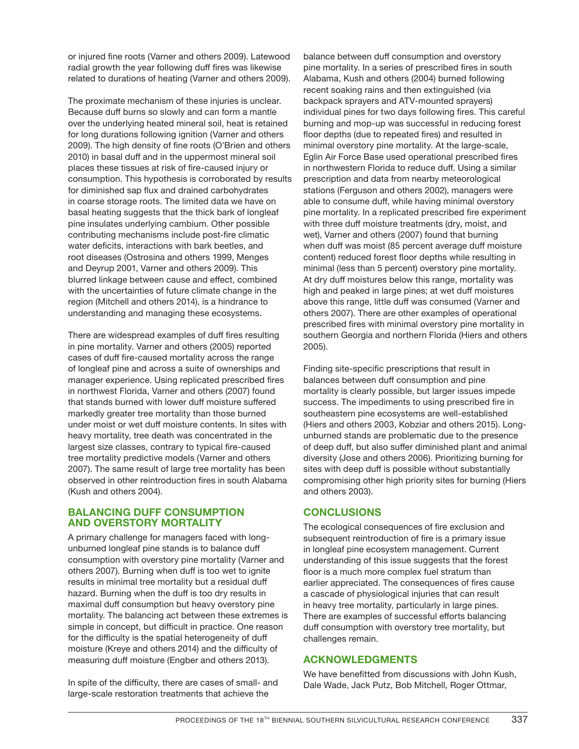or injured fine roots (Varner and others 2009). Latewood radial growth the year following duff fires was likewise related to durations of heating (Varner and others 2009).

The proximate mechanism of these injuries is unclear. Because duff burns so slowly and can form a mantle over the underlying heated mineral soil, heat is retained for long durations following ignition (Varner and others 2009). The high density of fine roots (O'Brien and others 2010) in basal duff and in the uppermost mineral soil places these tissues at risk of fire-caused injury or consumption. This hypothesis is corroborated by results for diminished sap flux and drained carbohydrates in coarse storage roots. The limited data we have on basal heating suggests that the thick bark of longleaf pine insulates underlying cambium. Other possible contributing mechanisms include post-fire climatic water deficits, interactions with bark beetles, and root diseases (Ostrosina and others 1999, Menges and Deyrup 2001, Varner and others 2009). This blurred linkage between cause and effect, combined with the uncertainties of future climate change in the region (Mitchell and others 2014), is a hindrance to understanding and managing these ecosystems.

There are widespread examples of duff fires resulting in pine mortality. Varner and others (2005) reported cases of duff fire-caused mortality across the range of longleaf pine and across a suite of ownerships and manager experience. Using replicated prescribed fires in northwest Florida, Varner and others (2007) found that stands burned with lower duff moisture suffered markedly greater tree mortality than those burned under moist or wet duff moisture contents. In sites with heavy mortality, tree death was concentrated in the largest size classes, contrary to typical fire-caused tree mortality predictive models (Varner and others 2007). The same result of large tree mortality has been observed in other reintroduction fires in south Alabama (Kush and others 2004).

#### **BALANCING DUFF CONSUMPTION AND OVERSTORY MORTALITY**

A primary challenge for managers faced with longunburned longleaf pine stands is to balance duff consumption with overstory pine mortality (Varner and others 2007). Burning when duff is too wet to ignite results in minimal tree mortality but a residual duff hazard. Burning when the duff is too dry results in maximal duff consumption but heavy overstory pine mortality. The balancing act between these extremes is simple in concept, but difficult in practice. One reason for the difficulty is the spatial heterogeneity of duff moisture (Kreye and others 2014) and the difficulty of measuring duff moisture (Engber and others 2013).

In spite of the difficulty, there are cases of small- and large-scale restoration treatments that achieve the

balance between duff consumption and overstory pine mortality. In a series of prescribed fires in south Alabama, Kush and others (2004) burned following recent soaking rains and then extinguished (via backpack sprayers and ATV-mounted sprayers) individual pines for two days following fires. This careful burning and mop-up was successful in reducing forest floor depths (due to repeated fires) and resulted in minimal overstory pine mortality. At the large-scale, Eglin Air Force Base used operational prescribed fires in northwestern Florida to reduce duff. Using a similar prescription and data from nearby meteorological stations (Ferguson and others 2002), managers were able to consume duff, while having minimal overstory pine mortality. In a replicated prescribed fire experiment with three duff moisture treatments (dry, moist, and wet), Varner and others (2007) found that burning when duff was moist (85 percent average duff moisture content) reduced forest floor depths while resulting in minimal (less than 5 percent) overstory pine mortality. At dry duff moistures below this range, mortality was high and peaked in large pines; at wet duff moistures above this range, little duff was consumed (Varner and others 2007). There are other examples of operational prescribed fires with minimal overstory pine mortality in southern Georgia and northern Florida (Hiers and others 2005).

Finding site-specific prescriptions that result in balances between duff consumption and pine mortality is clearly possible, but larger issues impede success. The impediments to using prescribed fire in southeastern pine ecosystems are well-established (Hiers and others 2003, Kobziar and others 2015). Longunburned stands are problematic due to the presence of deep duff, but also suffer diminished plant and animal diversity (Jose and others 2006). Prioritizing burning for sites with deep duff is possible without substantially compromising other high priority sites for burning (Hiers and others 2003).

## **CONCLUSIONS**

The ecological consequences of fire exclusion and subsequent reintroduction of fire is a primary issue in longleaf pine ecosystem management. Current understanding of this issue suggests that the forest floor is a much more complex fuel stratum than earlier appreciated. The consequences of fires cause a cascade of physiological injuries that can result in heavy tree mortality, particularly in large pines. There are examples of successful efforts balancing duff consumption with overstory tree mortality, but challenges remain.

## **ACKNOWLEDGMENTS**

We have benefitted from discussions with John Kush, Dale Wade, Jack Putz, Bob Mitchell, Roger Ottmar,